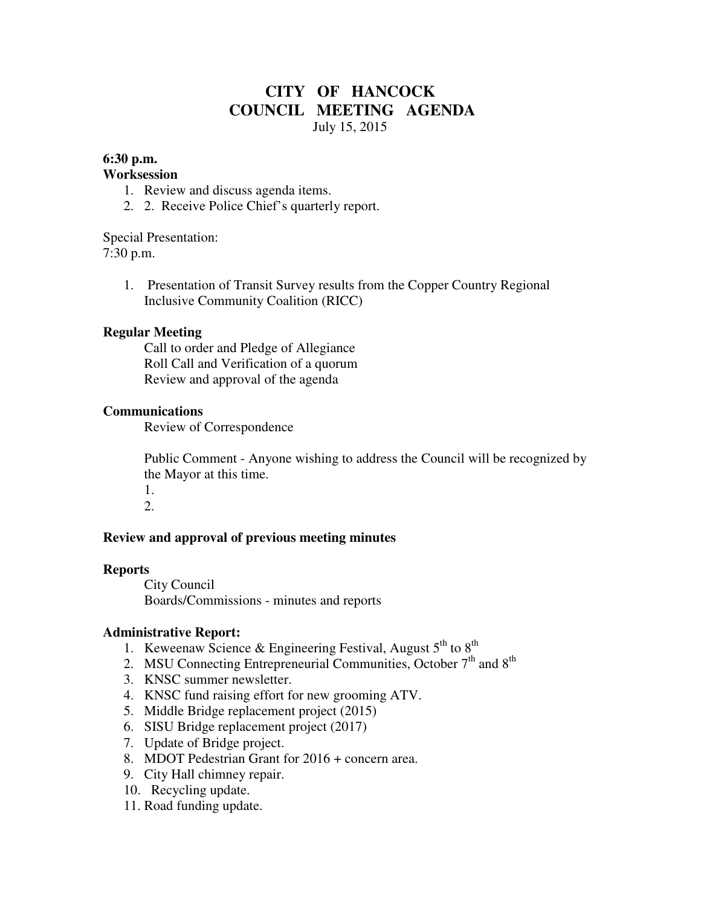# **CITY OF HANCOCK COUNCIL MEETING AGENDA**  July 15, 2015

## **6:30 p.m.**

## **Worksession**

- 1. Review and discuss agenda items.
- 2. 2. Receive Police Chief's quarterly report.

Special Presentation: 7:30 p.m.

> 1. Presentation of Transit Survey results from the Copper Country Regional Inclusive Community Coalition (RICC)

## **Regular Meeting**

 Call to order and Pledge of Allegiance Roll Call and Verification of a quorum Review and approval of the agenda

## **Communications**

Review of Correspondence

 Public Comment - Anyone wishing to address the Council will be recognized by the Mayor at this time.

1. 2.

## **Review and approval of previous meeting minutes**

#### **Reports**

City Council Boards/Commissions - minutes and reports

#### **Administrative Report:**

- 1. Keweenaw Science & Engineering Festival, August  $5<sup>th</sup>$  to  $8<sup>th</sup>$
- 2. MSU Connecting Entrepreneurial Communities, October  $7<sup>th</sup>$  and  $8<sup>th</sup>$
- 3. KNSC summer newsletter.
- 4. KNSC fund raising effort for new grooming ATV.
- 5. Middle Bridge replacement project (2015)
- 6. SISU Bridge replacement project (2017)
- 7. Update of Bridge project.
- 8. MDOT Pedestrian Grant for 2016 + concern area.
- 9. City Hall chimney repair.
- 10. Recycling update.
- 11. Road funding update.